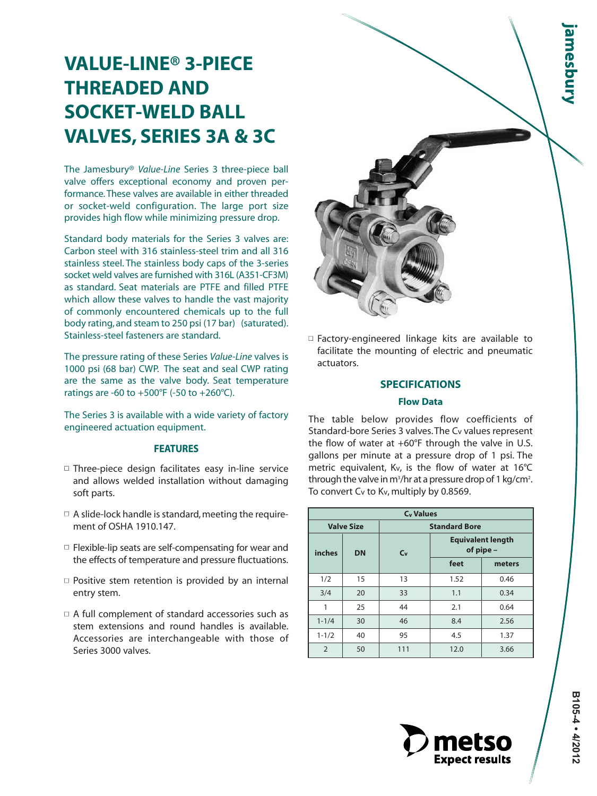# **VALUE-LINE® 3-PIECE THREADED AND SOCKET-WELD BALL VALVES, SERIES 3A & 3C**

The Jamesbury® *Value-Line* Series 3 three-piece ball valve offers exceptional economy and proven performance. These valves are available in either threaded or socket-weld configuration. The large port size provides high flow while minimizing pressure drop.

Standard body materials for the Series 3 valves are: Carbon steel with 316 stainless-steel trim and all 316 stainless steel. The stainless body caps of the 3-series socket weld valves are furnished with 316L (A351-CF3M) as standard. Seat materials are PTFE and filled PTFE which allow these valves to handle the vast majority of commonly encountered chemicals up to the full body rating, and steam to 250 psi (17 bar) (saturated). Stainless-steel fasteners are standard.

The pressure rating of these Series *Value-Line* valves is 1000 psi (68 bar) CWP. The seat and seal CWP rating are the same as the valve body. Seat temperature ratings are -60 to +500°F (-50 to +260°C).

The Series 3 is available with a wide variety of factory engineered actuation equipment.

# **FEATURES**

- Three-piece design facilitates easy in-line service and allows welded installation without damaging soft parts.
- $\Box$  A slide-lock handle is standard, meeting the requirement of OSHA 1910.147.
- $\square$  Flexible-lip seats are self-compensating for wear and the effects of temperature and pressure fluctuations.
- $\Box$  Positive stem retention is provided by an internal entry stem.
- $\Box$  A full complement of standard accessories such as stem extensions and round handles is available. Accessories are interchangeable with those of Series 3000 valves.



 $\Box$  Factory-engineered linkage kits are available to facilitate the mounting of electric and pneumatic actuators.

# **SPECIFICATIONS**

#### **Flow Data**

The table below provides flow coefficients of Standard-bore Series 3 valves.The Cv values represent the flow of water at  $+60^{\circ}F$  through the valve in U.S. gallons per minute at a pressure drop of 1 psi. The metric equivalent, Kv, is the flow of water at 16°C through the valve in m<sup>3</sup>/hr at a pressure drop of 1 kg/cm<sup>2</sup>. To convert Cv to Kv, multiply by 0.8569.

|                |                   | <b>C<sub>v</sub></b> Values |                      |                                       |  |  |
|----------------|-------------------|-----------------------------|----------------------|---------------------------------------|--|--|
|                | <b>Valve Size</b> |                             | <b>Standard Bore</b> |                                       |  |  |
| inches         | <b>DN</b>         | C <sub>v</sub>              |                      | <b>Equivalent length</b><br>of pipe - |  |  |
|                |                   |                             | feet                 | meters                                |  |  |
| 1/2            | 15                | 13                          | 1.52                 | 0.46                                  |  |  |
| 3/4            | 20                | 33                          | 1.1                  | 0.34                                  |  |  |
| 1              | 25                | 44                          | 2.1                  | 0.64                                  |  |  |
| $1 - 1/4$      | 30                | 46                          | 8.4                  | 2.56                                  |  |  |
| $1 - 1/2$      | 40                | 95                          | 4.5                  | 1.37                                  |  |  |
| $\overline{2}$ | 50                | 111                         | 12.0                 | 3.66                                  |  |  |

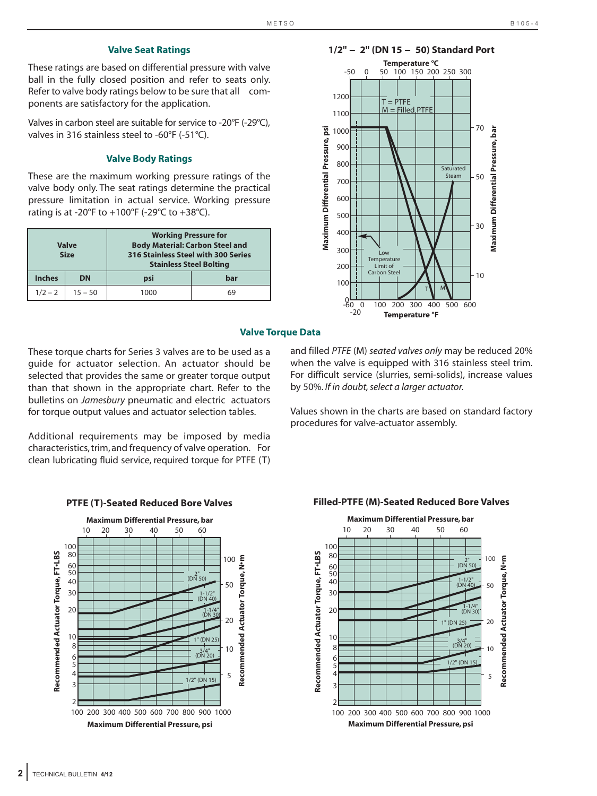# **Valve Seat Ratings**

These ratings are based on differential pressure with valve ball in the fully closed position and refer to seats only. Refer to valve body ratings below to be sure that all components are satisfactory for the application.

Valves in carbon steel are suitable for service to -20°F (-29°C), valves in 316 stainless steel to -60°F (-51°C).

#### **Valve Body Ratings**

These are the maximum working pressure ratings of the valve body only. The seat ratings determine the practical pressure limitation in actual service. Working pressure rating is at -20°F to +100°F (-29°C to +38°C).

|               | <b>Valve</b><br><b>Size</b> | <b>Working Pressure for</b><br><b>Body Material: Carbon Steel and</b><br>316 Stainless Steel with 300 Series<br><b>Stainless Steel Bolting</b> |     |
|---------------|-----------------------------|------------------------------------------------------------------------------------------------------------------------------------------------|-----|
| <b>Inches</b> | <b>DN</b>                   | psi                                                                                                                                            | bar |
| $1/2 - 2$     | $15 - 50$                   | 1000                                                                                                                                           | 69  |



#### **Valve Torque Data**

These torque charts for Series 3 valves are to be used as a guide for actuator selection. An actuator should be selected that provides the same or greater torque output than that shown in the appropriate chart. Refer to the bulletins on *Jamesbury* pneumatic and electric actuators for torque output values and actuator selection tables.

Additional requirements may be imposed by media characteristics, trim, and frequency of valve operation. For clean lubricating fluid service, required torque for PTFE (T)

and filled *PTFE* (M) *seated valves only* may be reduced 20% when the valve is equipped with 316 stainless steel trim. For difficult service (slurries, semi-solids), increase values by 50%. *If in doubt, select a larger actuator.*

Values shown in the charts are based on standard factory procedures for valve-actuator assembly.



# **PTFE (T)-Seated Reduced Bore Valves Filled-PTFE (M)-Seated Reduced Bore Valves**

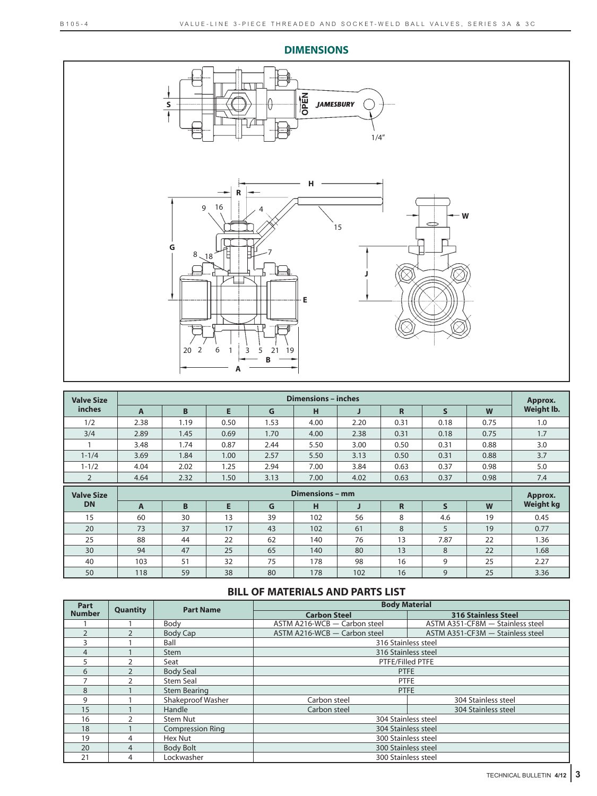

| <b>Valve Size</b> |              |      |      |      | <b>Dimensions - inches</b> |      |             |              |      | Approx.          |
|-------------------|--------------|------|------|------|----------------------------|------|-------------|--------------|------|------------------|
| <i>inches</i>     | A            | B    | E    | G    | н                          | J    | $\mathbf R$ | $\mathsf{s}$ | W    | Weight lb.       |
| 1/2               | 2.38         | 1.19 | 0.50 | 1.53 | 4.00                       | 2.20 | 0.31        | 0.18         | 0.75 | 1.0              |
| 3/4               | 2.89         | 1.45 | 0.69 | 1.70 | 4.00                       | 2.38 | 0.31        | 0.18         | 0.75 | 1.7              |
|                   | 3.48         | 1.74 | 0.87 | 2.44 | 5.50                       | 3.00 | 0.50        | 0.31         | 0.88 | 3.0              |
| $1 - 1/4$         | 3.69         | 1.84 | 1.00 | 2.57 | 5.50                       | 3.13 | 0.50        | 0.31         | 0.88 | 3.7              |
| $1 - 1/2$         | 4.04         | 2.02 | 1.25 | 2.94 | 7.00                       | 3.84 | 0.63        | 0.37         | 0.98 | 5.0              |
| $\overline{2}$    | 4.64         | 2.32 | 1.50 | 3.13 | 7.00                       | 4.02 | 0.63        | 0.37         | 0.98 | 7.4              |
|                   |              |      |      |      |                            |      |             |              |      |                  |
| <b>Valve Size</b> |              |      |      |      | Dimensions - mm            |      |             |              |      | Approx.          |
| <b>DN</b>         | $\mathbf{A}$ | B    | E    | G    | н                          | J    | $\mathbf R$ | S            | W    | <b>Weight kg</b> |
| 15                | 60           | 30   | 13   | 39   | 102                        | 56   | 8           | 4.6          | 19   | 0.45             |
| 20                | 73           | 37   | 17   | 43   | 102                        | 61   | 8           | 5            | 19   | 0.77             |
| 25                | 88           | 44   | 22   | 62   | 140                        | 76   | 13          | 7.87         | 22   | 1.36             |
| 30                | 94           | 47   | 25   | 65   | 140                        | 80   | 13          | 8            | 22   | 1.68             |
| 40                | 103          | 51   | 32   | 75   | 178                        | 98   | 16          | 9            | 25   | 2.27             |

# **BILL OF MATERIALS AND PARTS LIST**

| Part           | <b>Quantity</b> | <b>Part Name</b>        | <b>Body Material</b>         |                                  |
|----------------|-----------------|-------------------------|------------------------------|----------------------------------|
| <b>Number</b>  |                 |                         | <b>Carbon Steel</b>          | <b>316 Stainless Steel</b>       |
|                |                 | Body                    | ASTM A216-WCB - Carbon steel | ASTM A351-CF8M - Stainless steel |
| $\overline{2}$ |                 | <b>Body Cap</b>         | ASTM A216-WCB - Carbon steel | ASTM A351-CF3M - Stainless steel |
|                |                 | Ball                    | 316 Stainless steel          |                                  |
| 4              |                 | <b>Stem</b>             | 316 Stainless steel          |                                  |
| 5              |                 | Seat                    | PTFE/Filled PTFE             |                                  |
| 6              | $\mathcal{P}$   | <b>Body Seal</b>        | <b>PTFE</b>                  |                                  |
|                |                 | <b>Stem Seal</b>        | <b>PTFE</b>                  |                                  |
| 8              |                 | <b>Stem Bearing</b>     | <b>PTFE</b>                  |                                  |
| 9              |                 | Shakeproof Washer       | Carbon steel                 | 304 Stainless steel              |
| 15             |                 | Handle                  | Carbon steel                 | 304 Stainless steel              |
| 16             | $\mathcal{P}$   | Stem Nut                | 304 Stainless steel          |                                  |
| 18             |                 | <b>Compression Ring</b> | 304 Stainless steel          |                                  |
| 19             | 4               | Hex Nut                 | 300 Stainless steel          |                                  |
| 20             | 4               | <b>Body Bolt</b>        | 300 Stainless steel          |                                  |
| 21             | 4               | Lockwasher              | 300 Stainless steel          |                                  |